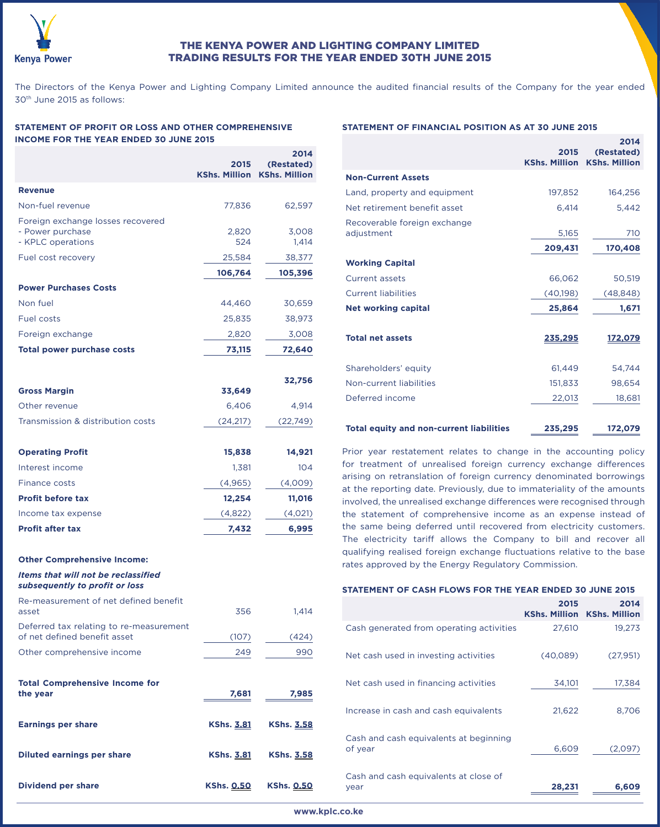

# THE KENYA POWER AND LIGHTING COMPANY LIMITED TRADING RESULTS FOR THE YEAR ENDED 30TH JUNE 2015

The Directors of the Kenya Power and Lighting Company Limited announce the audited financial results of the Company for the year ended 30th June 2015 as follows:

## **STATEMENT OF PROFIT OR LOSS AND OTHER COMPREHENSIVE INCOME FOR THE YEAR ENDED 30 JUNE 2015**

|                                                                         | 2015<br><b>KShs. Million</b> | 2014<br>(Restated)<br><b>KShs. Million</b> |
|-------------------------------------------------------------------------|------------------------------|--------------------------------------------|
| <b>Revenue</b>                                                          |                              |                                            |
| Non-fuel revenue                                                        | 77,836                       | 62,597                                     |
| Foreign exchange losses recovered<br>- Power purchase                   | 2,820                        | 3,008                                      |
| - KPLC operations                                                       | 524                          | 1,414                                      |
| Fuel cost recovery                                                      | 25,584                       | 38,377                                     |
|                                                                         | 106,764                      | 105,396                                    |
| <b>Power Purchases Costs</b>                                            |                              |                                            |
| Non fuel                                                                | 44,460                       | 30,659                                     |
| <b>Fuel costs</b>                                                       | 25,835                       | 38,973                                     |
| Foreign exchange                                                        | 2,820                        | 3,008                                      |
| <b>Total power purchase costs</b>                                       | 73,115                       | 72,640                                     |
| <b>Gross Margin</b>                                                     | 33,649                       | 32,756                                     |
| Other revenue                                                           | 6,406                        | 4,914                                      |
| Transmission & distribution costs                                       | (24, 217)                    | (22,749)                                   |
|                                                                         |                              |                                            |
| <b>Operating Profit</b>                                                 | 15,838                       | 14,921                                     |
| Interest income                                                         | 1,381                        | 104                                        |
| <b>Finance costs</b>                                                    | (4, 965)                     | (4,009)                                    |
| <b>Profit before tax</b>                                                | 12,254                       | 11,016                                     |
| Income tax expense                                                      | (4,822)                      | (4,021)                                    |
| <b>Profit after tax</b>                                                 | 7,432                        | 6,995                                      |
| <b>Other Comprehensive Income:</b>                                      |                              |                                            |
| Items that will not be reclassified<br>subsequently to profit or loss   |                              |                                            |
| Re-measurement of net defined benefit<br>asset                          | 356                          | 1,414                                      |
| Deferred tax relating to re-measurement<br>of net defined benefit asset | (107)                        | (424)                                      |
| Other comprehensive income                                              | 249                          | 990                                        |
| <b>Total Comprehensive Income for</b><br>the year                       | 7,681                        | 7,985                                      |
| <b>Earnings per share</b>                                               | <b>KShs. 3.81</b>            | <b>KShs. 3.58</b>                          |
| <b>Diluted earnings per share</b>                                       | <b>KShs. 3.81</b>            | <b>KShs. 3.58</b>                          |
| <b>Dividend per share</b>                                               | <b>KShs. 0.50</b>            | <b>KShs. 0.50</b>                          |

## **STATEMENT OF FINANCIAL POSITION AS AT 30 JUNE 2015**

|                                                 |                              | 2014                               |
|-------------------------------------------------|------------------------------|------------------------------------|
|                                                 | 2015<br><b>KShs. Million</b> | (Restated)<br><b>KShs. Million</b> |
| <b>Non-Current Assets</b>                       |                              |                                    |
| Land, property and equipment                    | 197,852                      | 164,256                            |
| Net retirement benefit asset                    | 6,414                        | 5,442                              |
| Recoverable foreign exchange                    |                              |                                    |
| adjustment                                      | 5,165                        | 710                                |
|                                                 | 209,431                      | 170,408                            |
| <b>Working Capital</b>                          |                              |                                    |
| <b>Current assets</b>                           | 66,062                       | 50,519                             |
| <b>Current liabilities</b>                      | (40,198)                     | (48, 848)                          |
| <b>Net working capital</b>                      | 25,864                       | 1,671                              |
| <b>Total net assets</b>                         | 235,295                      | 172,079                            |
| Shareholders' equity                            | 61,449                       | 54,744                             |
| Non-current liabilities                         | 151,833                      | 98,654                             |
| Deferred income                                 | 22,013                       | 18,681                             |
| <b>Total equity and non-current liabilities</b> | 235,295                      | 172,079                            |

Prior year restatement relates to change in the accounting policy for treatment of unrealised foreign currency exchange differences arising on retranslation of foreign currency denominated borrowings at the reporting date. Previously, due to immateriality of the amounts involved, the unrealised exchange differences were recognised through the statement of comprehensive income as an expense instead of the same being deferred until recovered from electricity customers. The electricity tariff allows the Company to bill and recover all qualifying realised foreign exchange fluctuations relative to the base rates approved by the Energy Regulatory Commission.

|  |  |  |  | STATEMENT OF CASH FLOWS FOR THE YEAR ENDED 30 JUNE 2015 |
|--|--|--|--|---------------------------------------------------------|
|--|--|--|--|---------------------------------------------------------|

|                                                   | 2015     | 2014<br><b>KShs. Million KShs. Million</b> |
|---------------------------------------------------|----------|--------------------------------------------|
| Cash generated from operating activities          | 27,610   | 19,273                                     |
| Net cash used in investing activities             | (40,089) | (27,951)                                   |
| Net cash used in financing activities             | 34,101   | 17,384                                     |
| Increase in cash and cash equivalents             | 21,622   | 8,706                                      |
| Cash and cash equivalents at beginning<br>of year | 6,609    | (2,097)                                    |
| Cash and cash equivalents at close of<br>year     | 28,231   | 6,609                                      |